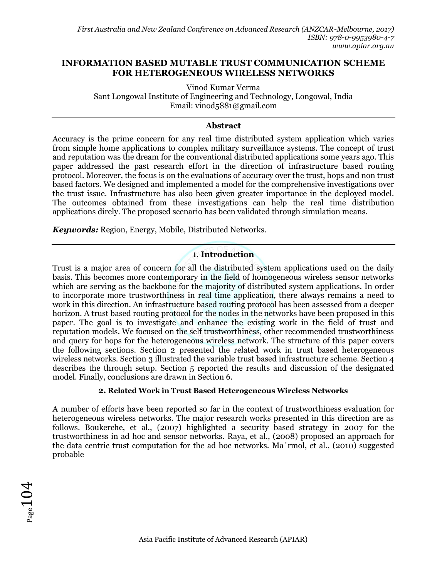# **INFORMATION BASED MUTABLE TRUST COMMUNICATION SCHEME FOR HETEROGENEOUS WIRELESS NETWORKS**

Vinod Kumar Verma Sant Longowal Institute of Engineering and Technology, Longowal, India Email: [vinod5881@gmail.com](mailto:email@email.com)

#### **Abstract**

Accuracy is the prime concern for any real time distributed system application which varies from simple home applications to complex military surveillance systems. The concept of trust and reputation was the dream for the conventional distributed applications some years ago. This paper addressed the past research effort in the direction of infrastructure based routing protocol. Moreover, the focus is on the evaluations of accuracy over the trust, hops and non trust based factors. We designed and implemented a model for the comprehensive investigations over the trust issue. Infrastructure has also been given greater importance in the deployed model. The outcomes obtained from these investigations can help the real time distribution applications direly. The proposed scenario has been validated through simulation means.

*Keywords:* Region, Energy, Mobile, Distributed Networks.

# 1. **Introduction**

Trust is a major area of concern for all the distributed system applications used on the daily basis. This becomes more contemporary in the field of homogeneous wireless sensor networks which are serving as the backbone for the majority of distributed system applications. In order to incorporate more trustworthiness in real time application, there always remains a need to work in this direction. An infrastructure based routing protocol has been assessed from a deeper horizon. A trust based routing protocol for the nodes in the networks have been proposed in this paper. The goal is to investigate and enhance the existing work in the field of trust and reputation models. We focused on the self trustworthiness, other recommended trustworthiness and query for hops for the heterogeneous wireless network. The structure of this paper covers the following sections. Section 2 presented the related work in trust based heterogeneous wireless networks. Section 3 illustrated the variable trust based infrastructure scheme. Section 4 describes the through setup. Section 5 reported the results and discussion of the designated model. Finally, conclusions are drawn in Section 6.

### **2. Related Work in Trust Based Heterogeneous Wireless Networks**

A number of efforts have been reported so far in the context of trustworthiness evaluation for heterogeneous wireless networks. The major research works presented in this direction are as follows. Boukerche, et al., (2007) highlighted a security based strategy in 2007 for the trustworthiness in ad hoc and sensor networks. Raya, et al., (2008) proposed an approach for the data centric trust computation for the ad hoc networks. Ma´rmol, et al., (2010) suggested probable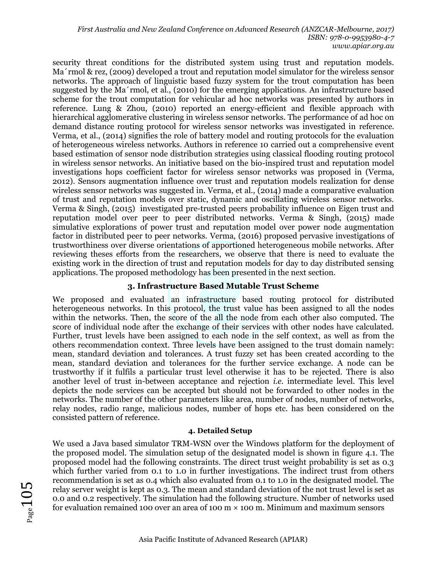security threat conditions for the distributed system using trust and reputation models. Ma´rmol & rez, (2009) developed a trout and reputation model simulator for the wireless sensor networks. The approach of linguistic based fuzzy system for the trout computation has been suggested by the Ma´rmol, et al., (2010) for the emerging applications. An infrastructure based scheme for the trout computation for vehicular ad hoc networks was presented by authors in reference. Lung & Zhou, (2010) reported an energy-efficient and flexible approach with hierarchical agglomerative clustering in wireless sensor networks. The performance of ad hoc on demand distance routing protocol for wireless sensor networks was investigated in reference. Verma, et al., (2014) signifies the role of battery model and routing protocols for the evaluation of heterogeneous wireless networks. Authors in reference 10 carried out a comprehensive event based estimation of sensor node distribution strategies using classical flooding routing protocol in wireless sensor networks. An initiative based on the bio-inspired trust and reputation model investigations hops coefficient factor for wireless sensor networks was proposed in (Verma, 2012). [Sensors augmentation](http://ieeexplore.ieee.org/xpl/articleDetails.jsp?arnumber=7137634&matchBoolean=true&searchWithin%5B%5D=%22First+Name%22%3AVINOD&searchWithin%5B%5D=%22Last+Name%22%3AVERMA&newsearch=true) [influence over trust and reputation models realization for dense](http://ieeexplore.ieee.org/xpl/articleDetails.jsp?arnumber=7137634&matchBoolean=true&searchWithin%5B%5D=%22First+Name%22%3AVINOD&searchWithin%5B%5D=%22Last+Name%22%3AVERMA&newsearch=true)  [wireless sensor networks w](http://ieeexplore.ieee.org/xpl/articleDetails.jsp?arnumber=7137634&matchBoolean=true&searchWithin%5B%5D=%22First+Name%22%3AVINOD&searchWithin%5B%5D=%22Last+Name%22%3AVERMA&newsearch=true)as suggested in. Verma, et al., (2014) made a comparative evaluation of trust and reputation models over static, dynamic and oscillating wireless sensor networks. Verma & Singh, (2015) investigated pre-trusted peers probability influence on Eigen trust and reputation model over peer to peer distributed networks. Verma & Singh, (2015) made simulative explorations of power trust and reputation model over power node augmentation factor in distributed peer to peer networks. Verma, (2016) proposed pervasive investigations of trustworthiness over diverse orientations of apportioned heterogeneous mobile networks. After reviewing theses efforts from the researchers, we observe that there is need to evaluate the existing work in the direction of trust and reputation models for day to day distributed sensing applications. The proposed methodology has been presented in the next section.

# **3. Infrastructure Based Mutable Trust Scheme**

We proposed and evaluated an infrastructure based routing protocol for distributed heterogeneous networks. In this protocol, the trust value has been assigned to all the nodes within the networks. Then, the score of the all the node from each other also computed. The score of individual node after the exchange of their services with other nodes have calculated. Further, trust levels have been assigned to each node in the self context, as well as from the others recommendation context. Three levels have been assigned to the trust domain namely: mean, standard deviation and tolerances. A trust fuzzy set has been created according to the mean, standard deviation and tolerances for the further service exchange. A node can be trustworthy if it fulfils a particular trust level otherwise it has to be rejected. There is also another level of trust in-between acceptance and rejection *i.e.* intermediate level. This level depicts the node services can be accepted but should not be forwarded to other nodes in the networks. The number of the other parameters like area, number of nodes, number of networks, relay nodes, radio range, malicious nodes, number of hops etc. has been considered on the consisted pattern of reference.

### **4. Detailed Setup**

We used a Java based simulator TRM-WSN over the Windows platform for the deployment of the proposed model. The simulation setup of the designated model is shown in figure 4.1. The proposed model had the following constraints. The direct trust weight probability is set as 0.3 which further varied from 0.1 to 1.0 in further investigations. The indirect trust from others recommendation is set as 0.4 which also evaluated from 0.1 to 1.0 in the designated model. The relay server weight is kept as 0.3. The mean and standard deviation of the not trust level is set as 0.0 and 0.2 respectively. The simulation had the following structure. Number of networks used for evaluation remained 100 over an area of 100 m × 100 m. Minimum and maximum sensors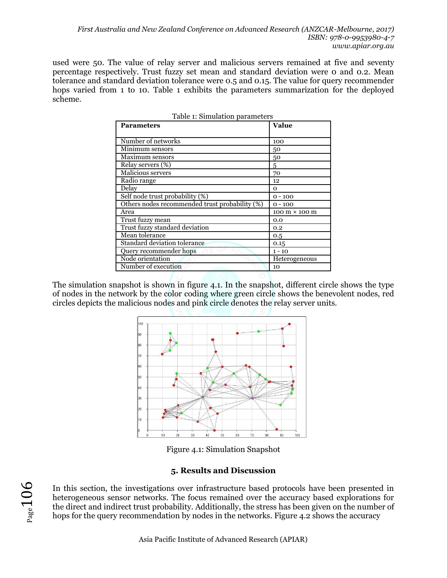used were 50. The value of relay server and malicious servers remained at five and seventy percentage respectively. Trust fuzzy set mean and standard deviation were 0 and 0.2. Mean tolerance and standard deviation tolerance were 0.5 and 0.15. The value for query recommender hops varied from 1 to 10. Table 1 exhibits the parameters summarization for the deployed scheme.

| <b>Parameters</b>                              | Value                                |
|------------------------------------------------|--------------------------------------|
|                                                |                                      |
| Number of networks                             | 100                                  |
| Minimum sensors                                | 50                                   |
| Maximum sensors                                | 50                                   |
| Relay servers (%)                              | 5                                    |
| Malicious servers                              | 70                                   |
| Radio range                                    | 12                                   |
| Delay                                          | $\mathbf 0$                          |
| Self node trust probability (%)                | $0 - 100$                            |
| Others nodes recommended trust probability (%) | $0 - 100$                            |
| Area                                           | $100 \text{ m} \times 100 \text{ m}$ |
| Trust fuzzy mean                               | 0.0                                  |
| Trust fuzzy standard deviation                 | 0.2                                  |
| Mean tolerance                                 | 0.5                                  |
| Standard deviation tolerance                   | 0.15                                 |
| Query recommender hops                         | $1 - 10$                             |
| Node orientation                               | Heterogeneous                        |
| Number of execution                            | 10                                   |

| Table 1: Simulation parameters |  |
|--------------------------------|--|
|--------------------------------|--|

The simulation snapshot is shown in figure 4.1. In the snapshot, different circle shows the type of nodes in the network by the color coding where green circle shows the benevolent nodes, red circles depicts the malicious nodes and pink circle denotes the relay server units.



Figure 4.1: Simulation Snapshot

### **5. Results and Discussion**

In this section, the investigations over infrastructure based protocols have been presented in heterogeneous sensor networks. The focus remained over the accuracy based explorations for the direct and indirect trust probability. Additionally, the stress has been given on the number of hops for the query recommendation by nodes in the networks. Figure 4.2 shows the accuracy

 $Page106$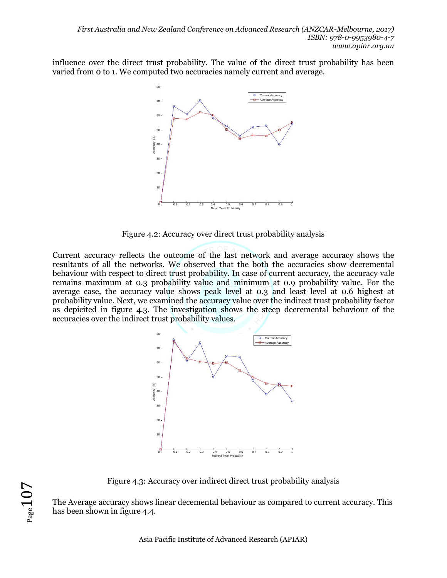influence over the direct trust probability. The value of the direct trust probability has been varied from 0 to 1. We computed two accuracies namely current and average.



Figure 4.2: Accuracy over direct trust probability analysis

Current accuracy reflects the outcome of the last network and average accuracy shows the resultants of all the networks. We observed that the both the accuracies show decremental behaviour with respect to direct trust probability. In case of current accuracy, the accuracy vale remains maximum at 0.3 probability value and minimum at 0.9 probability value. For the average case, the accuracy value shows peak level at 0.3 and least level at 0.6 highest at probability value. Next, we examined the accuracy value over the indirect trust probability factor as depicited in figure 4.3. The investigation shows the steep decremental behaviour of the accuracies over the indirect trust probability values.



Figure 4.3: Accuracy over indirect direct trust probability analysis

The Average accuracy shows linear decemental behaviour as compared to current accuracy. This has been shown in figure 4.4.

 $Page107$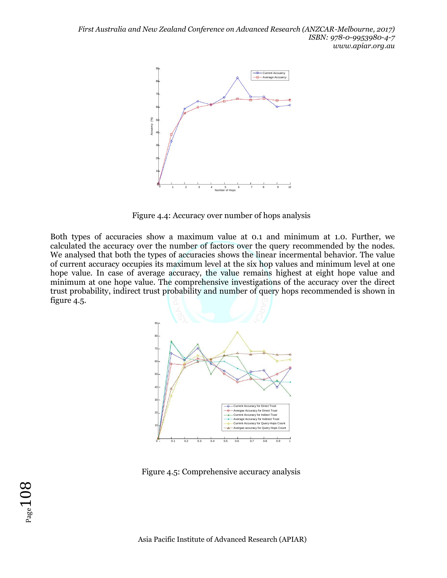

Figure 4.4: Accuracy over number of hops analysis

Both types of accuracies show a maximum value at 0.1 and minimum at 1.0. Further, we calculated the accuracy over the number of factors over the query recommended by the nodes. We analysed that both the types of accuracies shows the linear incermental behavior. The value of current accuracy occupies its maximum level at the six hop values and minimum level at one hope value. In case of average accuracy, the value remains highest at eight hope value and minimum at one hope value. The comprehensive investigations of the accuracy over the direct trust probability, indirect trust probability and number of query hops recommended is shown in figure 4.5.



Figure 4.5: Comprehensive accuracy analysis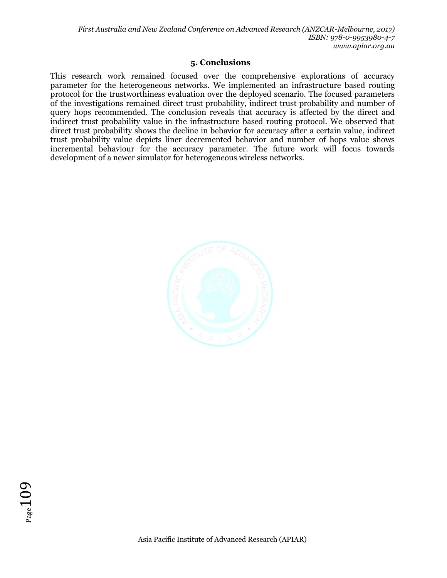# **5. Conclusions**

This research work remained focused over the comprehensive explorations of accuracy parameter for the heterogeneous networks. We implemented an infrastructure based routing protocol for the trustworthiness evaluation over the deployed scenario. The focused parameters of the investigations remained direct trust probability, indirect trust probability and number of query hops recommended. The conclusion reveals that accuracy is affected by the direct and indirect trust probability value in the infrastructure based routing protocol. We observed that direct trust probability shows the decline in behavior for accuracy after a certain value, indirect trust probability value depicts liner decremented behavior and number of hops value shows incremental behaviour for the accuracy parameter. The future work will focus towards development of a newer simulator for heterogeneous wireless networks.